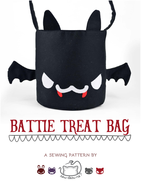

# BATTIE TREAT BAG

**a sewing pattern by**

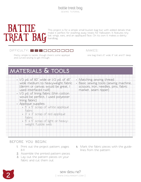## **BATTIE** treat bag

This project is for a simple small bucket bag but with added details that make it perfect for stashing away treats for Halloween. It features tiny bat wings, ears, and an appliqued face. On its own it makes a dainty handbag.

#### DIFFICULTY: **OFFICULTY: OFFICULTY: OFFICULTY: OFFICULTY:**

makes:

Pretty simple to tackle, though there's some appliqué one bag that's 8" wide, 8" tall, and 5" deep and curved sewing to get through.

### **materials & tools**

| $\cdot$ 1/3 yd. of 60" wide or 1/2 yd. of 45"<br>wide medium to heavyweight fabric<br>(denim or canvas would be great, I<br>used interfaced twill)<br>. 1/3 yd. of lining fabric (thin cotton<br>would be perfect, I used polyester | • Matching sewing thread<br>· Basic sewing tools (sewing machine,<br>scissors, iron, needles, pins, fabric<br>marker, seam ripper) |
|-------------------------------------------------------------------------------------------------------------------------------------------------------------------------------------------------------------------------------------|------------------------------------------------------------------------------------------------------------------------------------|
| lining fabric)                                                                                                                                                                                                                      |                                                                                                                                    |
| · Appliqué supplies:<br>$\cdot$ 5" $\times$ 5" scrap of white appliqué<br>fabric                                                                                                                                                    |                                                                                                                                    |
| $3'' \times 3''$ scrap of red appliqué<br>fabric                                                                                                                                                                                    |                                                                                                                                    |
| $5'' \times 5''$ scrap of light or heavy-<br>weight fusible web                                                                                                                                                                     |                                                                                                                                    |
|                                                                                                                                                                                                                                     |                                                                                                                                    |

#### **before you begin:**

- **1.** Print out the project pattern, pages 8-11
- **2.** Assemble the printed pattern pieces
- **3.** Lay out the pattern pieces on your fabric and cut them out
- **4.** Mark the fabric pieces with the guidelines from the pattern

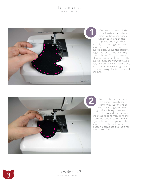sewing tutorial



First we're making all the little battie extremities – here we have the wings. Simply take two of the wing pieces and layer them with right sides together, then sew them together around the curved edge. Leave the straight edge free for turning the wing right side out. Clip your seam allowances (especially around the curves), turn the wing right side out, and press it flat. Repeat this with the other two wing pieces to create wings for both sides of the bag. First we're r<br>
little battie<br>
here we have<br>
wing pieces and<br>
winth right sides to<br>
sew them togeth<br>
curved edge. Leav<br>
edge free for turn<br>
right side out. Clip<br>
allowances (especi<br>
curves), turn the v<br>
out, and press it f<br>



Next up is the ears, which are done in much the same way. Layer two of the pieces together with right sides facing, then sew around the curved edge leaving the straight edge free. Trim the seam allowances, turn the ear right side out, then press it flat. Repeat with the last two ear pieces to complete two ears for

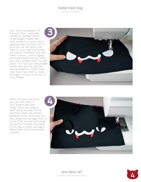sewing tutorial

Now onto the appliqué! For the bat's face, I personally traced my appliqué pieces to lightweight fusible web, then ironed it to some cotton appliqué fabric. All that's left to do is cut out the pieces, iron them to your bag front (where the pattern indicates), and sew them in place. I used a zigzag stitch personally, but you could also use a straight stitch or satin stitch. Or, if you use heavyweight fusible web, you can skip the sewing altogether. That's espe cially nice if you need to make the bag in a hurry or for lots of lucky kiddies!



When the face is all done, you can then add on your finished ears and wings. Baste the wings in place along the sides of the bag front where the pattern guidelines show, and baste the ears along the top edge. Note of course that the ears and wings are pointed towards the inside of the bag so when the bag is flipped later they'll be pointing outward.



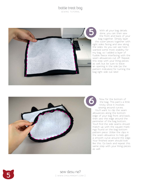sewing tutorial



With all your bag details done, you can then sew the front and back of your bag together. Simply layer the outer pieces together with right sides facing and sew along the sides. As you can see here, I wanted some more stability for my bag, so I added a layer of fusible fleece interfacing with the seam allowances cut off. Repeat this step with your lining pieces as well, but be sure to leave an opening in the side (as the pattern indicates) for turning the bag right side out later.



as well. **65**Now for the bottom of the bag. This part's a little tricky since it involves sewing around curves. You'll want to clip the seam allowances along the bottom edge of your bag front and back, then sew the edge around the perimeter of the bag bottom. You'll find the side seams should match up with the square mark ings found on the bag bottom pattern piece. Utilize the clips in the seam allowance to help get a smooth curve around the edge. Your finished seam should look like this. Go back and repeat this same step with your lining pieces as well.



**5** sew desu ne?<br>I www.cholyknight.co | www .cholyknight .com |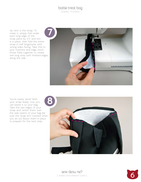sewing tutorial

Up next is the strap. To make it, simply fold under each long edge of the strap piece by 1/2" and iron it in place, then fold the entire strap in half lengthwise with wrong sides facing. Take this to your machine and edge stitch those folds together to create one long strip with finished edges along the side.



You're nearly done! With your strap ready, now you can baste it to your bag. Take the raw edges of your strap and center them over the side seams of your bag (be sure the strap isn't twisted when you do so). Baste them in place to prepare for the next step.



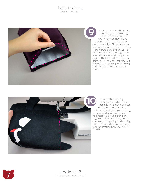sewing tutorial



Now you can finally attach your lining and main bag! Nestle the outer bag into the lining with right sides together and match up the raw upper edge. Also make sure that all of your battie extremities – the wings, ears, and strap – are also neatly inside the bag. Then you can sew around the perim eter of that top edge. When you finish, turn the bag right side out through the opening in the lining, and press that top seam nice and crisp.



To keep the top edge looking crisp, I did an extra edge stitch around the top of the bag. Be sure that the ears and strap are pointing up now, and you should have no problem sewing around the bag. You'll also want to go back and sew the opening in the lining closed. Now saddle up for some trick or treating because YOU'RE DONE!

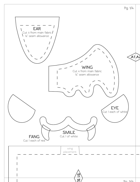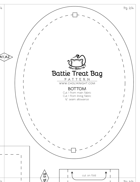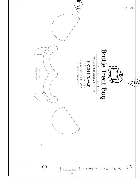